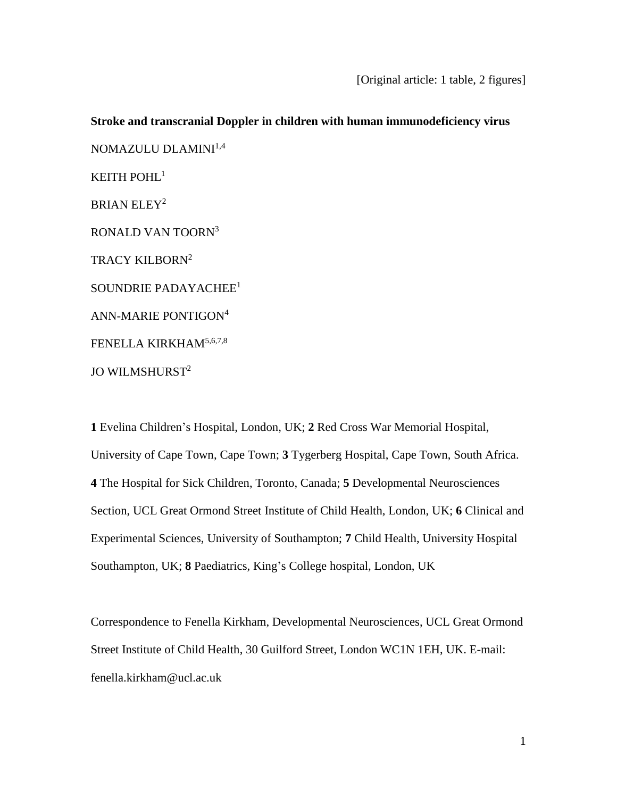**Stroke and transcranial Doppler in children with human immunodeficiency virus** NOMAZULU DLAMINI<sup>1,4</sup> KEITH POHL $^1$ BRIAN ELEY<sup>2</sup> RONALD VAN TOORN<sup>3</sup> TRACY KILBORN<sup>2</sup> SOUNDRIE PADAYACHEE<sup>1</sup> ANN-MARIE PONTIGON<sup>4</sup> FENELLA KIRKHAM5,6,7,8 JO WILMSHURST<sup>2</sup>

**1** Evelina Children's Hospital, London, UK; **2** Red Cross War Memorial Hospital, University of Cape Town, Cape Town; **3** Tygerberg Hospital, Cape Town, South Africa. **4** The Hospital for Sick Children, Toronto, Canada; **5** Developmental Neurosciences Section, UCL Great Ormond Street Institute of Child Health, London, UK; **6** Clinical and Experimental Sciences, University of Southampton; **7** Child Health, University Hospital Southampton, UK; **8** Paediatrics, King's College hospital, London, UK

Correspondence to Fenella Kirkham, Developmental Neurosciences, UCL Great Ormond Street Institute of Child Health, 30 Guilford Street, London WC1N 1EH, UK. E-mail: fenella.kirkham@ucl.ac.uk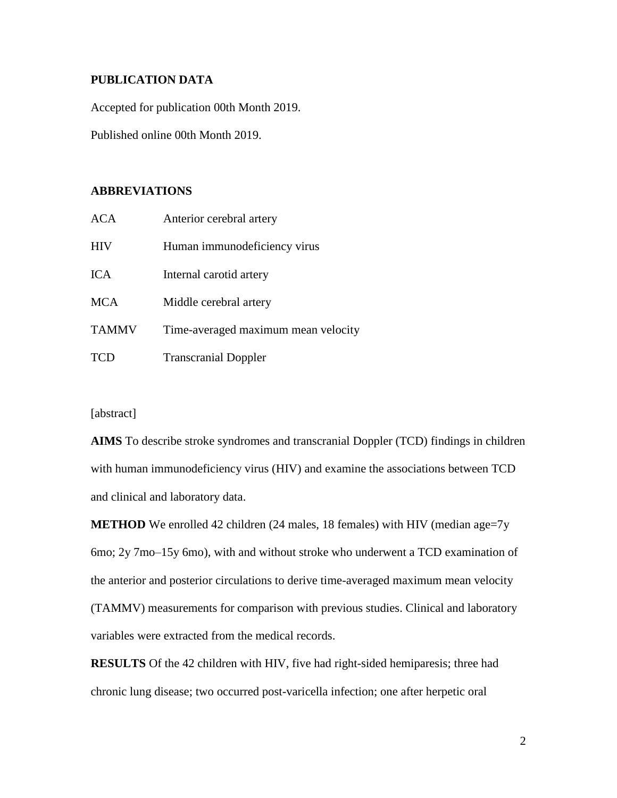# **PUBLICATION DATA**

Accepted for publication 00th Month 2019.

Published online 00th Month 2019.

# **ABBREVIATIONS**

| ACA          | Anterior cerebral artery            |
|--------------|-------------------------------------|
| <b>HIV</b>   | Human immunodeficiency virus        |
| <b>ICA</b>   | Internal carotid artery             |
| MCA          | Middle cerebral artery              |
| <b>TAMMV</b> | Time-averaged maximum mean velocity |
| TCD          | <b>Transcranial Doppler</b>         |

[abstract]

**AIMS** To describe stroke syndromes and transcranial Doppler (TCD) findings in children with human immunodeficiency virus (HIV) and examine the associations between TCD and clinical and laboratory data.

**METHOD** We enrolled 42 children (24 males, 18 females) with HIV (median age=7y 6mo; 2y 7mo–15y 6mo), with and without stroke who underwent a TCD examination of the anterior and posterior circulations to derive time-averaged maximum mean velocity (TAMMV) measurements for comparison with previous studies. Clinical and laboratory variables were extracted from the medical records.

**RESULTS** Of the 42 children with HIV, five had right-sided hemiparesis; three had chronic lung disease; two occurred post-varicella infection; one after herpetic oral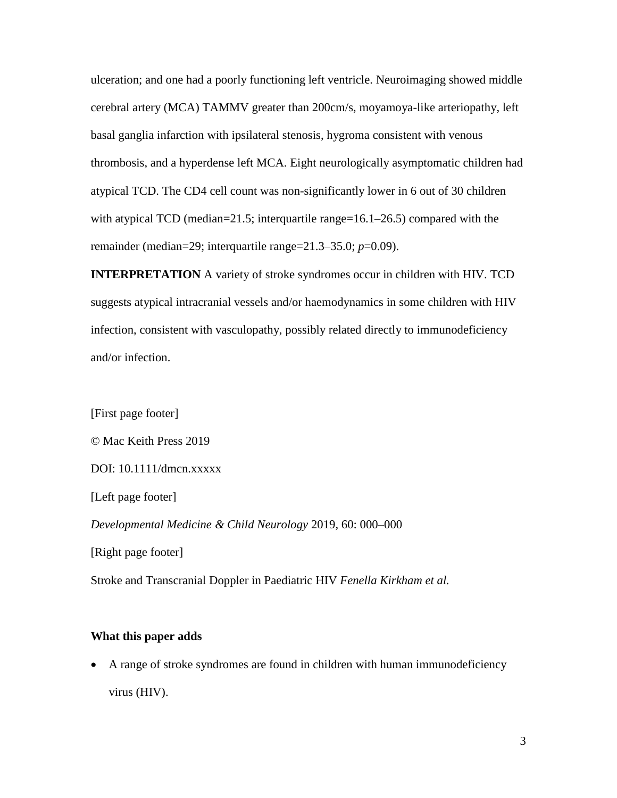ulceration; and one had a poorly functioning left ventricle. Neuroimaging showed middle cerebral artery (MCA) TAMMV greater than 200cm/s, moyamoya-like arteriopathy, left basal ganglia infarction with ipsilateral stenosis, hygroma consistent with venous thrombosis, and a hyperdense left MCA. Eight neurologically asymptomatic children had atypical TCD. The CD4 cell count was non-significantly lower in 6 out of 30 children with atypical TCD (median=21.5; interquartile range=16.1–26.5) compared with the remainder (median=29; interquartile range=21.3–35.0; *p*=0.09).

**INTERPRETATION** A variety of stroke syndromes occur in children with HIV. TCD suggests atypical intracranial vessels and/or haemodynamics in some children with HIV infection, consistent with vasculopathy, possibly related directly to immunodeficiency and/or infection.

[First page footer] © Mac Keith Press 2019 DOI: 10.1111/dmcn.xxxxx [Left page footer] *Developmental Medicine & Child Neurology* 2019, 60: 000–000 [Right page footer] Stroke and Transcranial Doppler in Paediatric HIV *Fenella Kirkham et al.*

## **What this paper adds**

 A range of stroke syndromes are found in children with human immunodeficiency virus (HIV).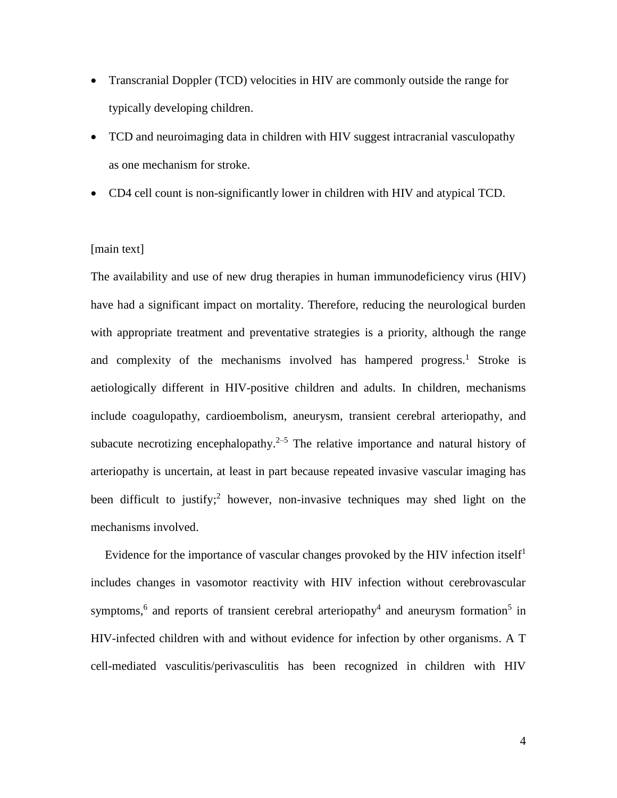- Transcranial Doppler (TCD) velocities in HIV are commonly outside the range for typically developing children.
- TCD and neuroimaging data in children with HIV suggest intracranial vasculopathy as one mechanism for stroke.
- CD4 cell count is non-significantly lower in children with HIV and atypical TCD.

# [main text]

The availability and use of new drug therapies in human immunodeficiency virus (HIV) have had a significant impact on mortality. Therefore, reducing the neurological burden with appropriate treatment and preventative strategies is a priority, although the range and complexity of the mechanisms involved has hampered progress.<sup>1</sup> Stroke is aetiologically different in HIV-positive children and adults. In children, mechanisms include coagulopathy, cardioembolism, aneurysm, transient cerebral arteriopathy, and subacute necrotizing encephalopathy. $2-5$  The relative importance and natural history of arteriopathy is uncertain, at least in part because repeated invasive vascular imaging has been difficult to justify;<sup>2</sup> however, non-invasive techniques may shed light on the mechanisms involved.

Evidence for the importance of vascular changes provoked by the HIV infection itself<sup>1</sup> includes changes in vasomotor reactivity with HIV infection without cerebrovascular symptoms,<sup>6</sup> and reports of transient cerebral arteriopathy<sup>4</sup> and aneurysm formation<sup>5</sup> in HIV-infected children with and without evidence for infection by other organisms. A T cell-mediated vasculitis/perivasculitis has been recognized in children with HIV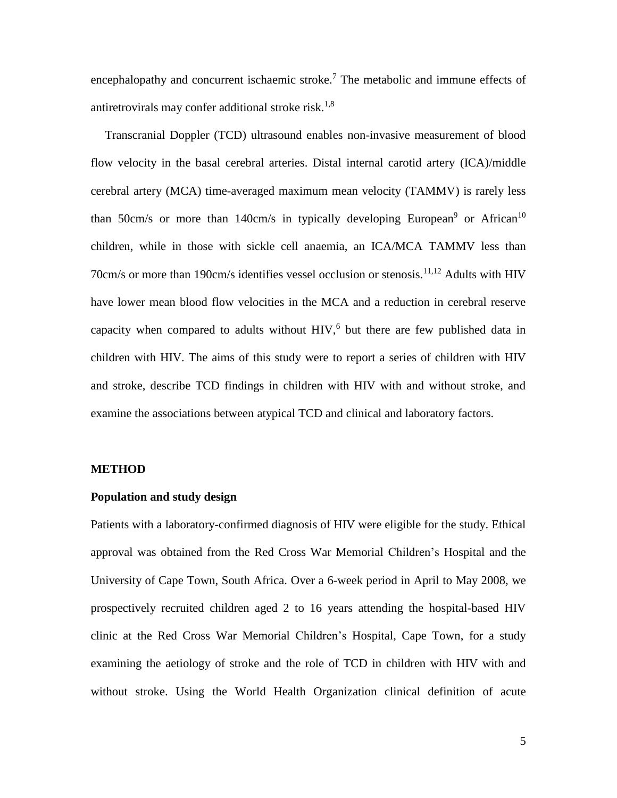encephalopathy and concurrent ischaemic stroke.<sup>7</sup> The metabolic and immune effects of antiretrovirals may confer additional stroke risk.<sup>1,8</sup>

Transcranial Doppler (TCD) ultrasound enables non-invasive measurement of blood flow velocity in the basal cerebral arteries. Distal internal carotid artery (ICA)/middle cerebral artery (MCA) time-averaged maximum mean velocity (TAMMV) is rarely less than 50cm/s or more than 140cm/s in typically developing European<sup>9</sup> or African<sup>10</sup> children, while in those with sickle cell anaemia, an ICA/MCA TAMMV less than 70cm/s or more than 190cm/s identifies vessel occlusion or stenosis.<sup>11,12</sup> Adults with HIV have lower mean blood flow velocities in the MCA and a reduction in cerebral reserve capacity when compared to adults without  $HIV$ , but there are few published data in children with HIV. The aims of this study were to report a series of children with HIV and stroke, describe TCD findings in children with HIV with and without stroke, and examine the associations between atypical TCD and clinical and laboratory factors.

#### **METHOD**

#### **Population and study design**

Patients with a laboratory-confirmed diagnosis of HIV were eligible for the study. Ethical approval was obtained from the Red Cross War Memorial Children's Hospital and the University of Cape Town, South Africa. Over a 6-week period in April to May 2008, we prospectively recruited children aged 2 to 16 years attending the hospital-based HIV clinic at the Red Cross War Memorial Children's Hospital, Cape Town, for a study examining the aetiology of stroke and the role of TCD in children with HIV with and without stroke. Using the World Health Organization clinical definition of acute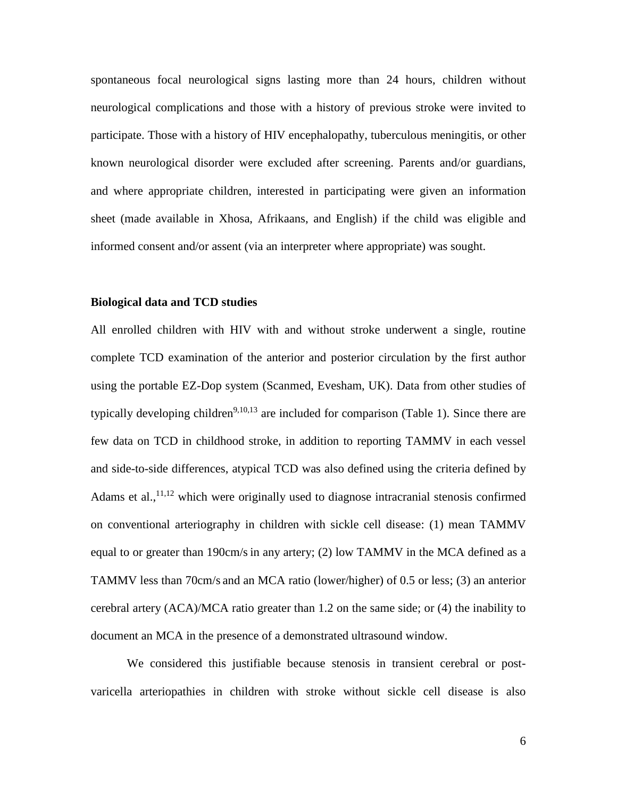spontaneous focal neurological signs lasting more than 24 hours, children without neurological complications and those with a history of previous stroke were invited to participate. Those with a history of HIV encephalopathy, tuberculous meningitis, or other known neurological disorder were excluded after screening. Parents and/or guardians, and where appropriate children, interested in participating were given an information sheet (made available in Xhosa, Afrikaans, and English) if the child was eligible and informed consent and/or assent (via an interpreter where appropriate) was sought.

## **Biological data and TCD studies**

All enrolled children with HIV with and without stroke underwent a single, routine complete TCD examination of the anterior and posterior circulation by the first author using the portable EZ-Dop system (Scanmed, Evesham, UK). Data from other studies of typically developing children<sup>9,10,13</sup> are included for comparison (Table 1). Since there are few data on TCD in childhood stroke, in addition to reporting TAMMV in each vessel and side-to-side differences, atypical TCD was also defined using the criteria defined by Adams et al.,<sup>11,12</sup> which were originally used to diagnose intracranial stenosis confirmed on conventional arteriography in children with sickle cell disease: (1) mean TAMMV equal to or greater than 190cm/sin any artery; (2) low TAMMV in the MCA defined as a TAMMV less than 70cm/s and an MCA ratio (lower/higher) of 0.5 or less; (3) an anterior cerebral artery (ACA)/MCA ratio greater than 1.2 on the same side; or (4) the inability to document an MCA in the presence of a demonstrated ultrasound window.

We considered this justifiable because stenosis in transient cerebral or postvaricella arteriopathies in children with stroke without sickle cell disease is also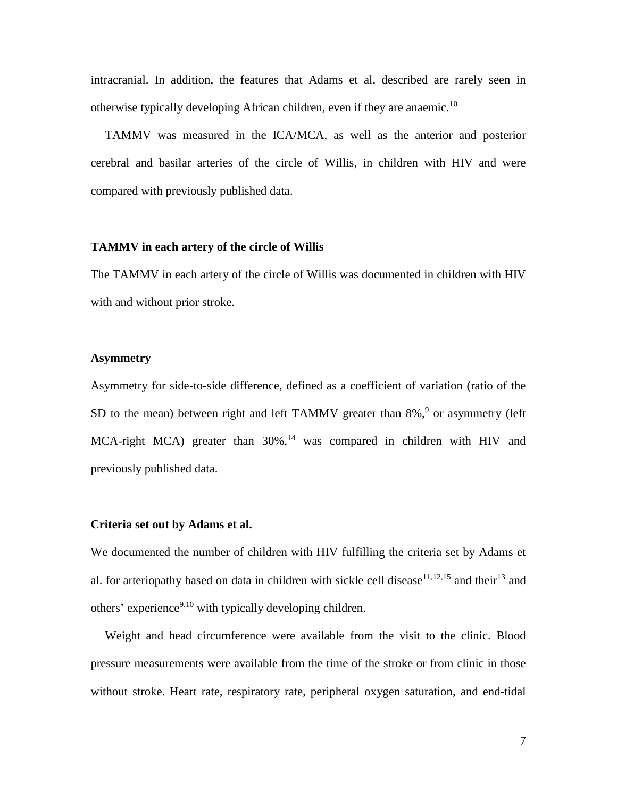intracranial. In addition, the features that Adams et al. described are rarely seen in otherwise typically developing African children, even if they are anaemic.<sup>10</sup>

TAMMV was measured in the ICA/MCA, as well as the anterior and posterior cerebral and basilar arteries of the circle of Willis, in children with HIV and were compared with previously published data.

## **TAMMV in each artery of the circle of Willis**

The TAMMV in each artery of the circle of Willis was documented in children with HIV with and without prior stroke.

#### **Asymmetry**

Asymmetry for side-to-side difference, defined as a coefficient of variation (ratio of the SD to the mean) between right and left TAMMV greater than  $8\%$ ,  $9\%$  or asymmetry (left MCA-right MCA) greater than 30%,<sup>14</sup> was compared in children with HIV and previously published data.

#### **Criteria set out by Adams et al.**

We documented the number of children with HIV fulfilling the criteria set by Adams et al. for arteriopathy based on data in children with sickle cell disease<sup>11,12,15</sup> and their<sup>13</sup> and others' experience<sup>9,10</sup> with typically developing children.

Weight and head circumference were available from the visit to the clinic. Blood pressure measurements were available from the time of the stroke or from clinic in those without stroke. Heart rate, respiratory rate, peripheral oxygen saturation, and end-tidal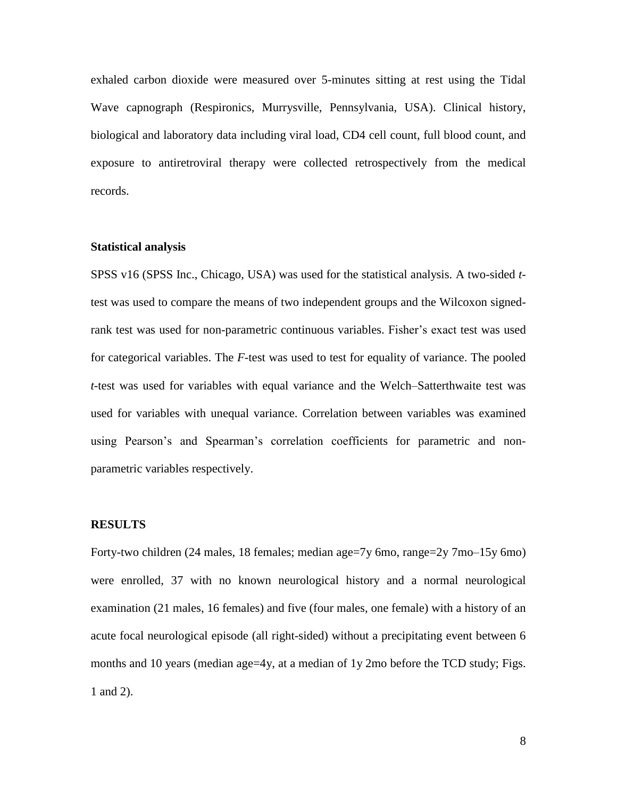exhaled carbon dioxide were measured over 5-minutes sitting at rest using the Tidal Wave capnograph (Respironics, Murrysville, Pennsylvania, USA). Clinical history, biological and laboratory data including viral load, CD4 cell count, full blood count, and exposure to antiretroviral therapy were collected retrospectively from the medical records.

## **Statistical analysis**

SPSS v16 (SPSS Inc., Chicago, USA) was used for the statistical analysis. A two-sided *t*test was used to compare the means of two independent groups and the Wilcoxon signedrank test was used for non-parametric continuous variables. Fisher's exact test was used for categorical variables. The *F*-test was used to test for equality of variance. The pooled *t*-test was used for variables with equal variance and the Welch–Satterthwaite test was used for variables with unequal variance. Correlation between variables was examined using Pearson's and Spearman's correlation coefficients for parametric and nonparametric variables respectively.

#### **RESULTS**

Forty-two children (24 males, 18 females; median age=7y 6mo, range=2y 7mo–15y 6mo) were enrolled, 37 with no known neurological history and a normal neurological examination (21 males, 16 females) and five (four males, one female) with a history of an acute focal neurological episode (all right-sided) without a precipitating event between 6 months and 10 years (median age=4y, at a median of 1y 2mo before the TCD study; Figs. 1 and 2).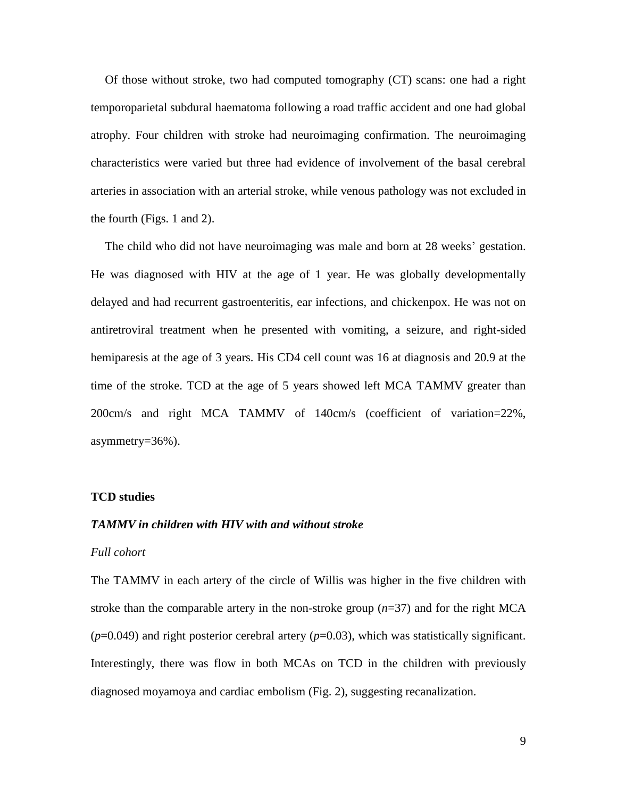Of those without stroke, two had computed tomography (CT) scans: one had a right temporoparietal subdural haematoma following a road traffic accident and one had global atrophy. Four children with stroke had neuroimaging confirmation. The neuroimaging characteristics were varied but three had evidence of involvement of the basal cerebral arteries in association with an arterial stroke, while venous pathology was not excluded in the fourth (Figs. 1 and 2).

The child who did not have neuroimaging was male and born at 28 weeks' gestation. He was diagnosed with HIV at the age of 1 year. He was globally developmentally delayed and had recurrent gastroenteritis, ear infections, and chickenpox. He was not on antiretroviral treatment when he presented with vomiting, a seizure, and right-sided hemiparesis at the age of 3 years. His CD4 cell count was 16 at diagnosis and 20.9 at the time of the stroke. TCD at the age of 5 years showed left MCA TAMMV greater than 200cm/s and right MCA TAMMV of 140cm/s (coefficient of variation=22%, asymmetry=36%).

#### **TCD studies**

#### *TAMMV in children with HIV with and without stroke*

#### *Full cohort*

The TAMMV in each artery of the circle of Willis was higher in the five children with stroke than the comparable artery in the non-stroke group (*n*=37) and for the right MCA  $(p=0.049)$  and right posterior cerebral artery  $(p=0.03)$ , which was statistically significant. Interestingly, there was flow in both MCAs on TCD in the children with previously diagnosed moyamoya and cardiac embolism (Fig. 2), suggesting recanalization.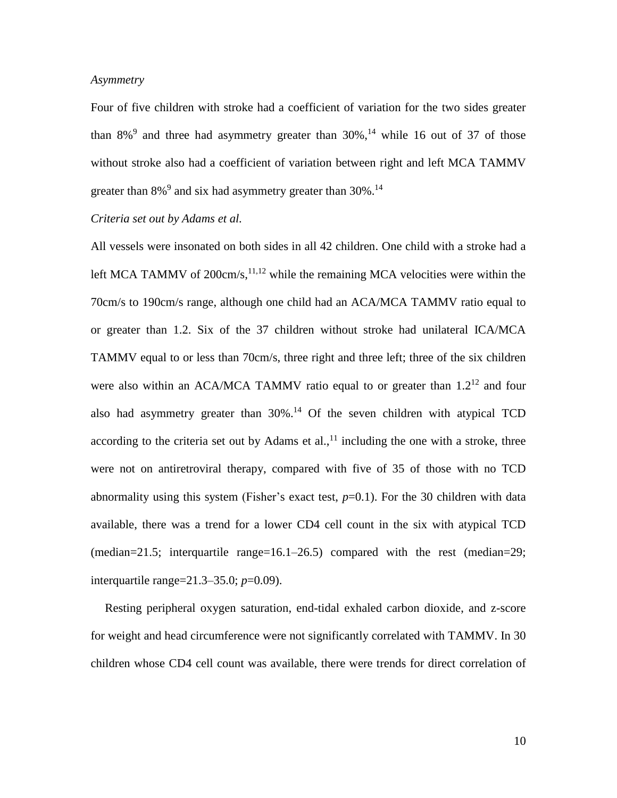## *Asymmetry*

Four of five children with stroke had a coefficient of variation for the two sides greater than  $8\%$ <sup>9</sup> and three had asymmetry greater than  $30\%$ ,<sup>14</sup> while 16 out of 37 of those without stroke also had a coefficient of variation between right and left MCA TAMMV greater than  $8\%$ <sup>9</sup> and six had asymmetry greater than  $30\%$ .<sup>14</sup>

## *Criteria set out by Adams et al.*

All vessels were insonated on both sides in all 42 children. One child with a stroke had a left MCA TAMMV of  $200 \text{cm/s}$ ,  $^{11,12}$  while the remaining MCA velocities were within the 70cm/s to 190cm/s range, although one child had an ACA/MCA TAMMV ratio equal to or greater than 1.2. Six of the 37 children without stroke had unilateral ICA/MCA TAMMV equal to or less than 70cm/s, three right and three left; three of the six children were also within an ACA/MCA TAMMV ratio equal to or greater than  $1.2^{12}$  and four also had asymmetry greater than  $30\%$ .<sup>14</sup> Of the seven children with atypical TCD according to the criteria set out by Adams et al., $<sup>11</sup>$  including the one with a stroke, three</sup> were not on antiretroviral therapy, compared with five of 35 of those with no TCD abnormality using this system (Fisher's exact test,  $p=0.1$ ). For the 30 children with data available, there was a trend for a lower CD4 cell count in the six with atypical TCD (median=21.5; interquartile range=16.1–26.5) compared with the rest (median=29; interquartile range=21.3–35.0; *p*=0.09).

Resting peripheral oxygen saturation, end-tidal exhaled carbon dioxide, and z-score for weight and head circumference were not significantly correlated with TAMMV. In 30 children whose CD4 cell count was available, there were trends for direct correlation of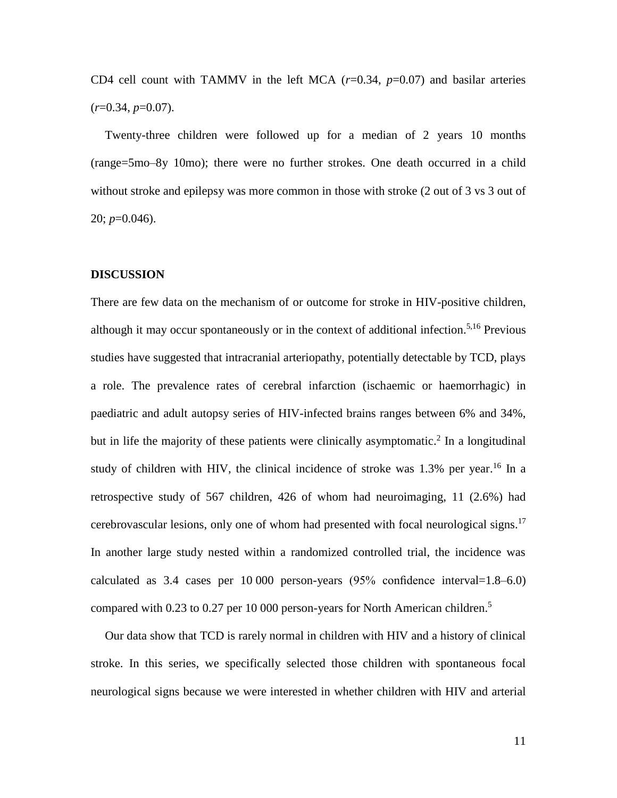CD4 cell count with TAMMV in the left MCA (*r*=0.34, *p*=0.07) and basilar arteries (*r*=0.34, *p*=0.07).

Twenty-three children were followed up for a median of 2 years 10 months (range=5mo–8y 10mo); there were no further strokes. One death occurred in a child without stroke and epilepsy was more common in those with stroke  $(2 \text{ out of } 3 \text{ vs } 3 \text{ out of } 3 \text{ vs } 3 \text{ out of } 3 \text{ vs } 3 \text{ out of } 3 \text{ vs } 3 \text{ out of } 3 \text{ vs } 3 \text{ out of } 3 \text{ vs } 3 \text{ out of } 3 \text{ vs } 3 \text{ out of } 3 \text{ vs } 3 \text{ out of } 3 \text{ vs } 3 \text{ out of } 3 \text{ vs } 3 \text{ out$ 20; *p*=0.046).

#### **DISCUSSION**

There are few data on the mechanism of or outcome for stroke in HIV-positive children, although it may occur spontaneously or in the context of additional infection. 5,16 Previous studies have suggested that intracranial arteriopathy, potentially detectable by TCD, plays a role. The prevalence rates of cerebral infarction (ischaemic or haemorrhagic) in paediatric and adult autopsy series of HIV-infected brains ranges between 6% and 34%, but in life the majority of these patients were clinically asymptomatic.<sup>2</sup> In a longitudinal study of children with HIV, the clinical incidence of stroke was 1.3% per year.<sup>16</sup> In a retrospective study of 567 children, 426 of whom had neuroimaging, 11 (2.6%) had cerebrovascular lesions, only one of whom had presented with focal neurological signs. 17 In another large study nested within a randomized controlled trial, the incidence was calculated as 3.4 cases per 10 000 person-years (95% confidence interval=1.8–6.0) compared with 0.23 to 0.27 per 10 000 person-years for North American children. 5

Our data show that TCD is rarely normal in children with HIV and a history of clinical stroke. In this series, we specifically selected those children with spontaneous focal neurological signs because we were interested in whether children with HIV and arterial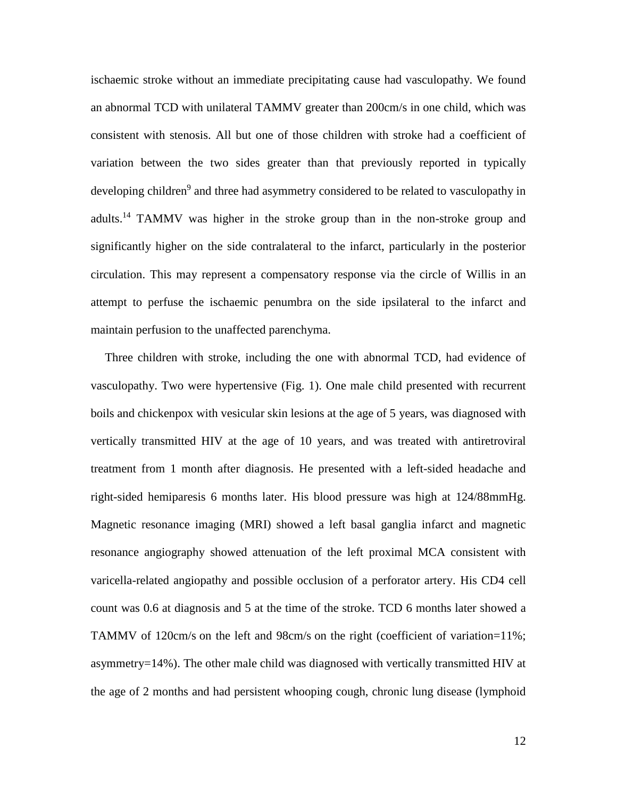ischaemic stroke without an immediate precipitating cause had vasculopathy. We found an abnormal TCD with unilateral TAMMV greater than 200cm/s in one child, which was consistent with stenosis. All but one of those children with stroke had a coefficient of variation between the two sides greater than that previously reported in typically developing children<sup>9</sup> and three had asymmetry considered to be related to vasculopathy in adults.<sup>14</sup> TAMMV was higher in the stroke group than in the non-stroke group and significantly higher on the side contralateral to the infarct, particularly in the posterior circulation. This may represent a compensatory response via the circle of Willis in an attempt to perfuse the ischaemic penumbra on the side ipsilateral to the infarct and maintain perfusion to the unaffected parenchyma.

Three children with stroke, including the one with abnormal TCD, had evidence of vasculopathy. Two were hypertensive (Fig. 1). One male child presented with recurrent boils and chickenpox with vesicular skin lesions at the age of 5 years, was diagnosed with vertically transmitted HIV at the age of 10 years, and was treated with antiretroviral treatment from 1 month after diagnosis. He presented with a left-sided headache and right-sided hemiparesis 6 months later. His blood pressure was high at 124/88mmHg. Magnetic resonance imaging (MRI) showed a left basal ganglia infarct and magnetic resonance angiography showed attenuation of the left proximal MCA consistent with varicella-related angiopathy and possible occlusion of a perforator artery. His CD4 cell count was 0.6 at diagnosis and 5 at the time of the stroke. TCD 6 months later showed a TAMMV of 120cm/s on the left and 98cm/s on the right (coefficient of variation=11%; asymmetry=14%). The other male child was diagnosed with vertically transmitted HIV at the age of 2 months and had persistent whooping cough, chronic lung disease (lymphoid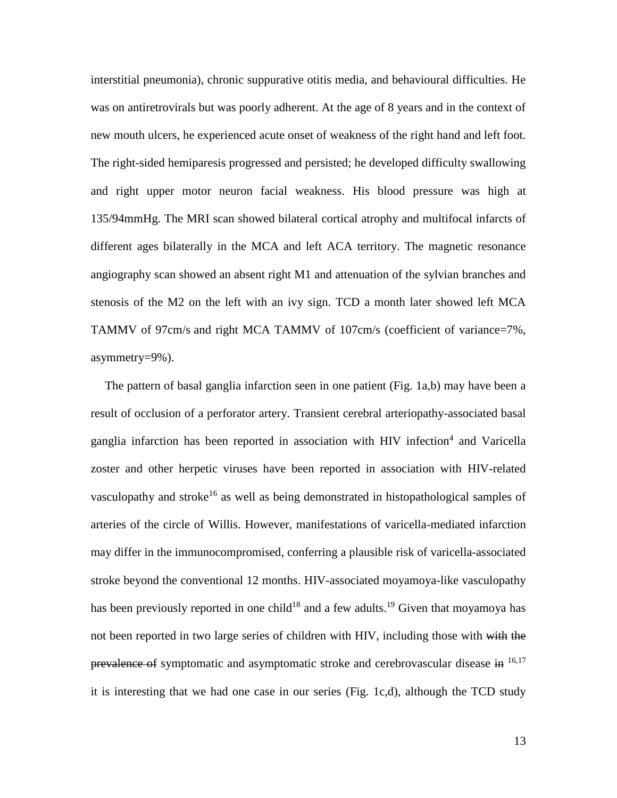interstitial pneumonia), chronic suppurative otitis media, and behavioural difficulties. He was on antiretrovirals but was poorly adherent. At the age of 8 years and in the context of new mouth ulcers, he experienced acute onset of weakness of the right hand and left foot. The right-sided hemiparesis progressed and persisted; he developed difficulty swallowing and right upper motor neuron facial weakness. His blood pressure was high at 135/94mmHg. The MRI scan showed bilateral cortical atrophy and multifocal infarcts of different ages bilaterally in the MCA and left ACA territory. The magnetic resonance angiography scan showed an absent right M1 and attenuation of the sylvian branches and stenosis of the M2 on the left with an ivy sign. TCD a month later showed left MCA TAMMV of 97cm/s and right MCA TAMMV of 107cm/s (coefficient of variance=7%, asymmetry=9%).

The pattern of basal ganglia infarction seen in one patient (Fig. 1a,b) may have been a result of occlusion of a perforator artery. Transient cerebral arteriopathy-associated basal ganglia infarction has been reported in association with HIV infection<sup>4</sup> and Varicella zoster and other herpetic viruses have been reported in association with HIV-related vasculopathy and stroke<sup>16</sup> as well as being demonstrated in histopathological samples of arteries of the circle of Willis. However, manifestations of varicella-mediated infarction may differ in the immunocompromised, conferring a plausible risk of varicella-associated stroke beyond the conventional 12 months. HIV-associated moyamoya-like vasculopathy has been previously reported in one child<sup>18</sup> and a few adults.<sup>19</sup> Given that moyamoya has not been reported in two large series of children with HIV, including those with with the prevalence of symptomatic and asymptomatic stroke and cerebrovascular disease in <sup>16,17</sup> it is interesting that we had one case in our series (Fig. 1c,d), although the TCD study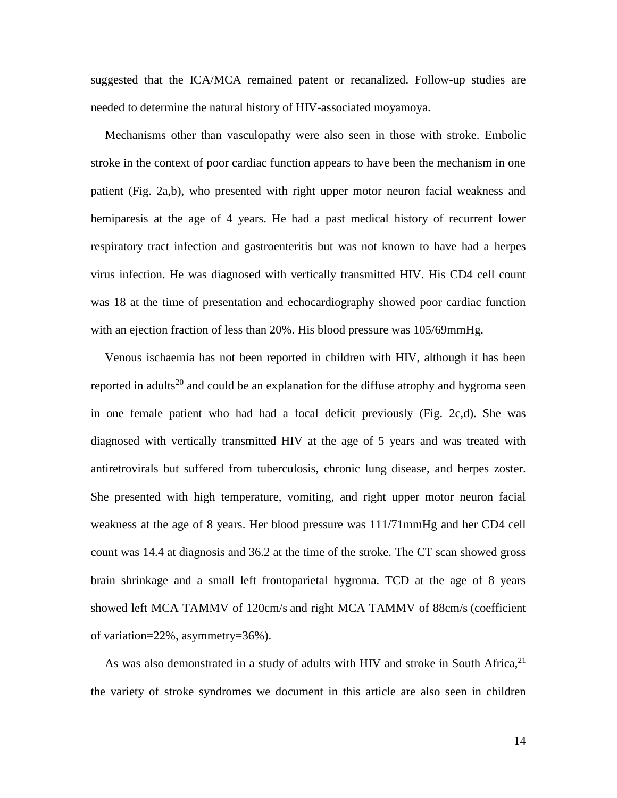suggested that the ICA/MCA remained patent or recanalized. Follow-up studies are needed to determine the natural history of HIV-associated moyamoya.

Mechanisms other than vasculopathy were also seen in those with stroke. Embolic stroke in the context of poor cardiac function appears to have been the mechanism in one patient (Fig. 2a,b), who presented with right upper motor neuron facial weakness and hemiparesis at the age of 4 years. He had a past medical history of recurrent lower respiratory tract infection and gastroenteritis but was not known to have had a herpes virus infection. He was diagnosed with vertically transmitted HIV. His CD4 cell count was 18 at the time of presentation and echocardiography showed poor cardiac function with an ejection fraction of less than 20%. His blood pressure was 105/69mmHg.

Venous ischaemia has not been reported in children with HIV, although it has been reported in adults<sup>20</sup> and could be an explanation for the diffuse atrophy and hygroma seen in one female patient who had had a focal deficit previously (Fig. 2c,d). She was diagnosed with vertically transmitted HIV at the age of 5 years and was treated with antiretrovirals but suffered from tuberculosis, chronic lung disease, and herpes zoster. She presented with high temperature, vomiting, and right upper motor neuron facial weakness at the age of 8 years. Her blood pressure was 111/71mmHg and her CD4 cell count was 14.4 at diagnosis and 36.2 at the time of the stroke. The CT scan showed gross brain shrinkage and a small left frontoparietal hygroma. TCD at the age of 8 years showed left MCA TAMMV of 120cm/s and right MCA TAMMV of 88cm/s (coefficient of variation=22%, asymmetry=36%).

As was also demonstrated in a study of adults with HIV and stroke in South Africa,<sup>21</sup> the variety of stroke syndromes we document in this article are also seen in children

14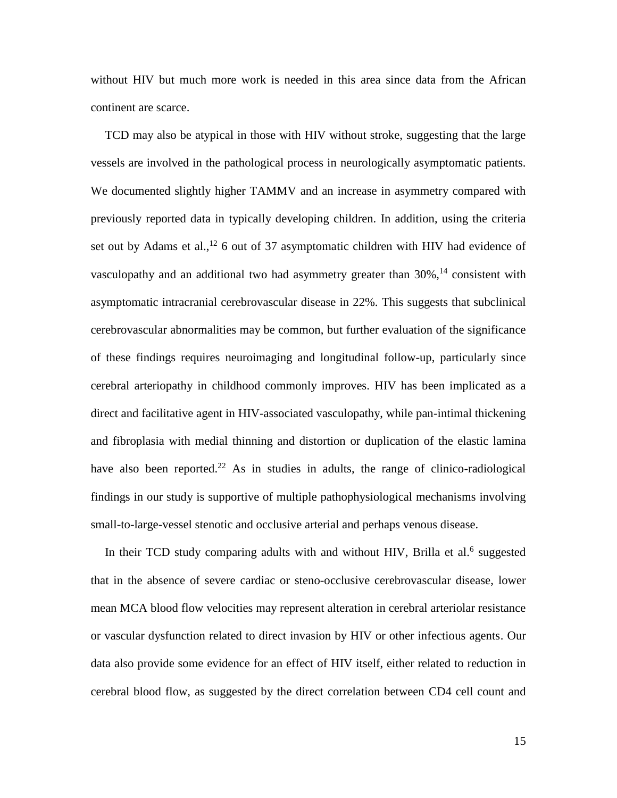without HIV but much more work is needed in this area since data from the African continent are scarce.

TCD may also be atypical in those with HIV without stroke, suggesting that the large vessels are involved in the pathological process in neurologically asymptomatic patients. We documented slightly higher TAMMV and an increase in asymmetry compared with previously reported data in typically developing children. In addition, using the criteria set out by Adams et al.,<sup>12</sup> 6 out of 37 asymptomatic children with HIV had evidence of vasculopathy and an additional two had asymmetry greater than  $30\%$ ,<sup>14</sup> consistent with asymptomatic intracranial cerebrovascular disease in 22%. This suggests that subclinical cerebrovascular abnormalities may be common, but further evaluation of the significance of these findings requires neuroimaging and longitudinal follow-up, particularly since cerebral arteriopathy in childhood commonly improves. HIV has been implicated as a direct and facilitative agent in HIV-associated vasculopathy, while pan-intimal thickening and fibroplasia with medial thinning and distortion or duplication of the elastic lamina have also been reported.<sup>22</sup> As in studies in adults, the range of clinico-radiological findings in our study is supportive of multiple pathophysiological mechanisms involving small-to-large-vessel stenotic and occlusive arterial and perhaps venous disease.

In their TCD study comparing adults with and without HIV, Brilla et al.<sup>6</sup> suggested that in the absence of severe cardiac or steno-occlusive cerebrovascular disease, lower mean MCA blood flow velocities may represent alteration in cerebral arteriolar resistance or vascular dysfunction related to direct invasion by HIV or other infectious agents. Our data also provide some evidence for an effect of HIV itself, either related to reduction in cerebral blood flow, as suggested by the direct correlation between CD4 cell count and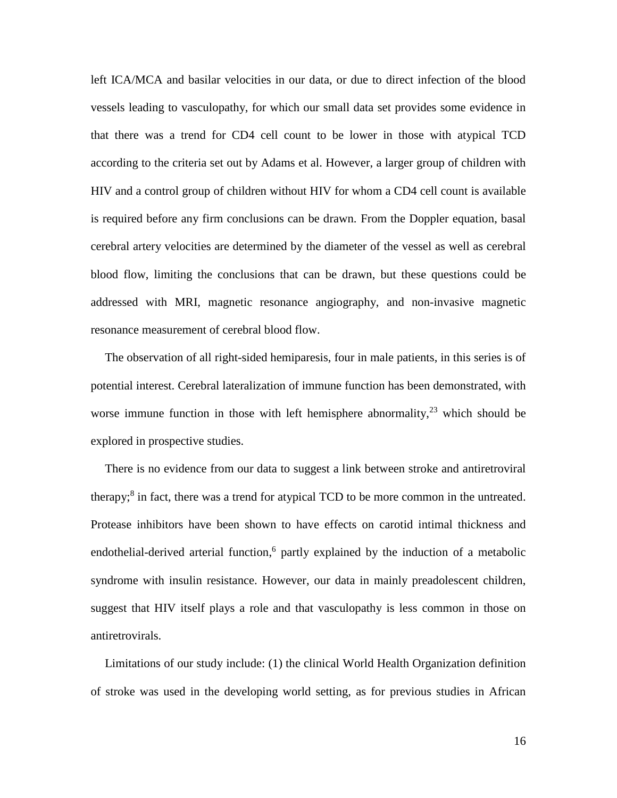left ICA/MCA and basilar velocities in our data, or due to direct infection of the blood vessels leading to vasculopathy, for which our small data set provides some evidence in that there was a trend for CD4 cell count to be lower in those with atypical TCD according to the criteria set out by Adams et al. However, a larger group of children with HIV and a control group of children without HIV for whom a CD4 cell count is available is required before any firm conclusions can be drawn. From the Doppler equation, basal cerebral artery velocities are determined by the diameter of the vessel as well as cerebral blood flow, limiting the conclusions that can be drawn, but these questions could be addressed with MRI, magnetic resonance angiography, and non-invasive magnetic resonance measurement of cerebral blood flow.

The observation of all right-sided hemiparesis, four in male patients, in this series is of potential interest. Cerebral lateralization of immune function has been demonstrated, with worse immune function in those with left hemisphere abnormality,  $2^3$  which should be explored in prospective studies.

There is no evidence from our data to suggest a link between stroke and antiretroviral therapy;<sup>8</sup> in fact, there was a trend for atypical TCD to be more common in the untreated. Protease inhibitors have been shown to have effects on carotid intimal thickness and endothelial-derived arterial function,<sup>6</sup> partly explained by the induction of a metabolic syndrome with insulin resistance. However, our data in mainly preadolescent children, suggest that HIV itself plays a role and that vasculopathy is less common in those on antiretrovirals.

Limitations of our study include: (1) the clinical World Health Organization definition of stroke was used in the developing world setting, as for previous studies in African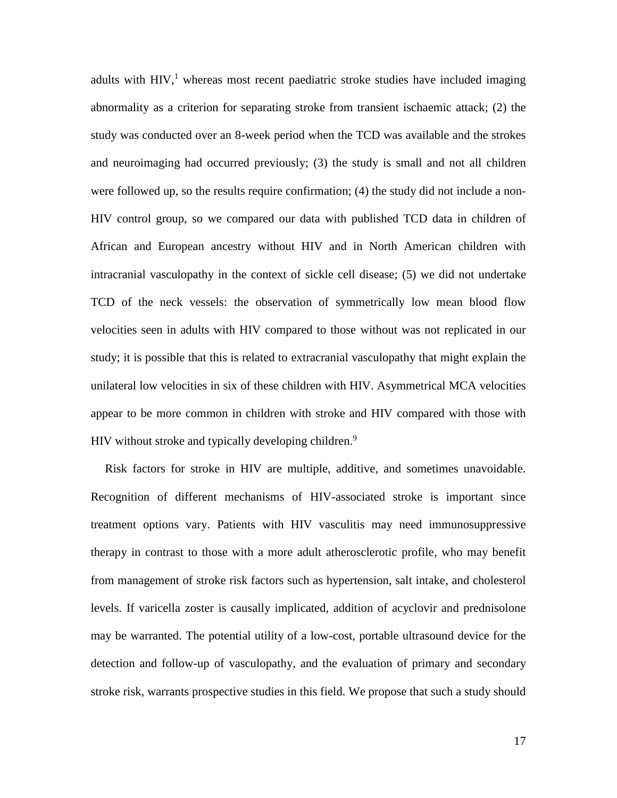adults with HIV, $<sup>1</sup>$  whereas most recent paediatric stroke studies have included imaging</sup> abnormality as a criterion for separating stroke from transient ischaemic attack; (2) the study was conducted over an 8-week period when the TCD was available and the strokes and neuroimaging had occurred previously; (3) the study is small and not all children were followed up, so the results require confirmation; (4) the study did not include a non-HIV control group, so we compared our data with published TCD data in children of African and European ancestry without HIV and in North American children with intracranial vasculopathy in the context of sickle cell disease; (5) we did not undertake TCD of the neck vessels: the observation of symmetrically low mean blood flow velocities seen in adults with HIV compared to those without was not replicated in our study; it is possible that this is related to extracranial vasculopathy that might explain the unilateral low velocities in six of these children with HIV. Asymmetrical MCA velocities appear to be more common in children with stroke and HIV compared with those with HIV without stroke and typically developing children.<sup>9</sup>

Risk factors for stroke in HIV are multiple, additive, and sometimes unavoidable. Recognition of different mechanisms of HIV-associated stroke is important since treatment options vary. Patients with HIV vasculitis may need immunosuppressive therapy in contrast to those with a more adult atherosclerotic profile, who may benefit from management of stroke risk factors such as hypertension, salt intake, and cholesterol levels. If varicella zoster is causally implicated, addition of acyclovir and prednisolone may be warranted. The potential utility of a low-cost, portable ultrasound device for the detection and follow-up of vasculopathy, and the evaluation of primary and secondary stroke risk, warrants prospective studies in this field. We propose that such a study should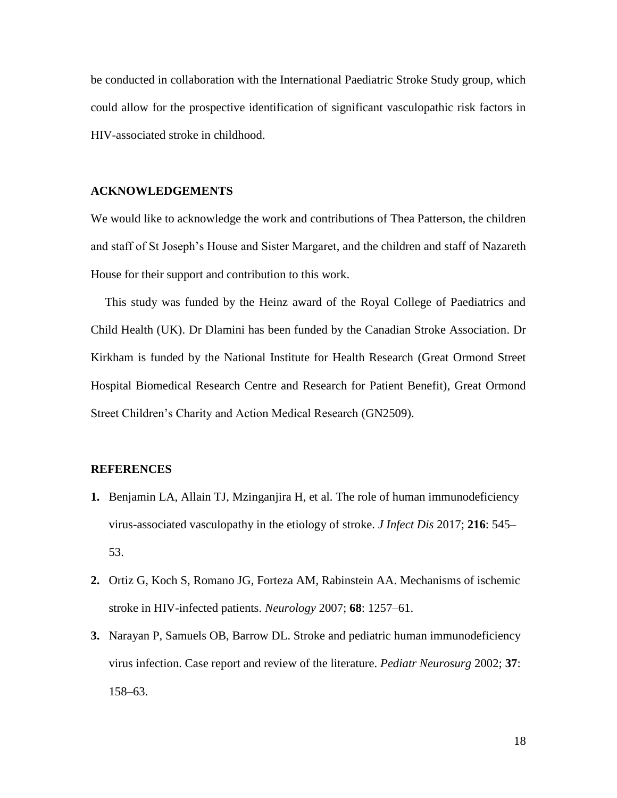be conducted in collaboration with the International Paediatric Stroke Study group, which could allow for the prospective identification of significant vasculopathic risk factors in HIV-associated stroke in childhood.

## **ACKNOWLEDGEMENTS**

We would like to acknowledge the work and contributions of Thea Patterson, the children and staff of St Joseph's House and Sister Margaret, and the children and staff of Nazareth House for their support and contribution to this work.

This study was funded by the Heinz award of the Royal College of Paediatrics and Child Health (UK). Dr Dlamini has been funded by the Canadian Stroke Association. Dr Kirkham is funded by the National Institute for Health Research (Great Ormond Street Hospital Biomedical Research Centre and Research for Patient Benefit), Great Ormond Street Children's Charity and Action Medical Research (GN2509).

#### **REFERENCES**

- **1.** Benjamin LA, Allain TJ, Mzinganjira H, et al. The role of human immunodeficiency virus-associated vasculopathy in the etiology of stroke. *J Infect Dis* 2017; **216**: 545– 53.
- **2.** Ortiz G, Koch S, Romano JG, Forteza AM, Rabinstein AA. Mechanisms of ischemic stroke in HIV-infected patients. *Neurology* 2007; **68**: 1257–61.
- **3.** Narayan P, Samuels OB, Barrow DL. Stroke and pediatric human immunodeficiency virus infection. Case report and review of the literature. *Pediatr Neurosurg* 2002; **37**: 158–63.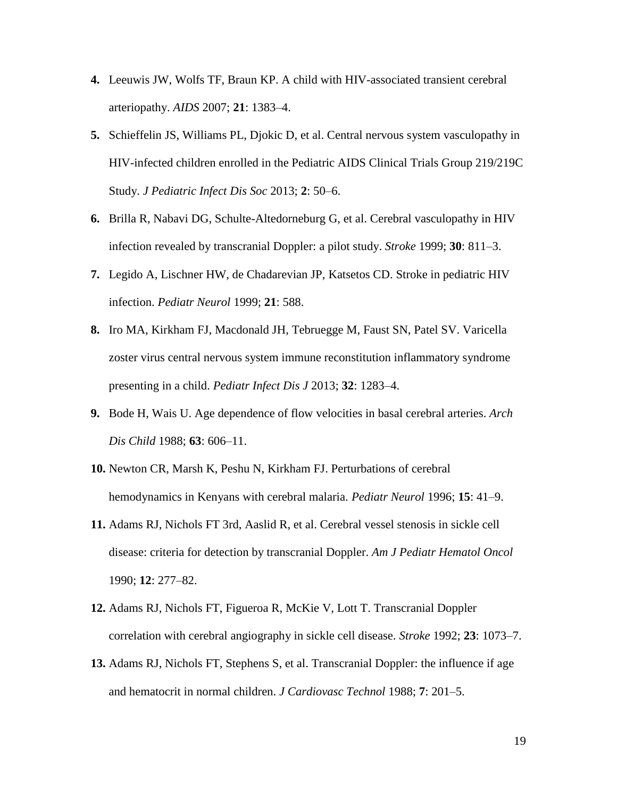- **4.** Leeuwis JW, Wolfs TF, Braun KP. A child with HIV-associated transient cerebral arteriopathy. *AIDS* 2007; **21**: 1383–4.
- **5.** Schieffelin JS, Williams PL, Djokic D, et al. Central nervous system vasculopathy in HIV-infected children enrolled in the Pediatric AIDS Clinical Trials Group 219/219C Study. *J Pediatric Infect Dis Soc* 2013; **2**: 50–6.
- **6.** Brilla R, Nabavi DG, Schulte-Altedorneburg G, et al. Cerebral vasculopathy in HIV infection revealed by transcranial Doppler: a pilot study. *Stroke* 1999; **30**: 811–3.
- **7.** Legido A, Lischner HW, de Chadarevian JP, Katsetos CD. Stroke in pediatric HIV infection. *Pediatr Neurol* 1999; **21**: 588.
- **8.** Iro MA, Kirkham FJ, Macdonald JH, Tebruegge M, Faust SN, Patel SV. Varicella zoster virus central nervous system immune reconstitution inflammatory syndrome presenting in a child. *Pediatr Infect Dis J* 2013; **32**: 1283–4.
- **9.** Bode H, Wais U. Age dependence of flow velocities in basal cerebral arteries. *Arch Dis Child* 1988; **63**: 606–11.
- **10.** Newton CR, Marsh K, Peshu N, Kirkham FJ. Perturbations of cerebral hemodynamics in Kenyans with cerebral malaria. *Pediatr Neurol* 1996; **15**: 41–9.
- **11.** Adams RJ, Nichols FT 3rd, Aaslid R, et al. Cerebral vessel stenosis in sickle cell disease: criteria for detection by transcranial Doppler. *Am J Pediatr Hematol Oncol* 1990; **12**: 277–82.
- **12.** Adams RJ, Nichols FT, Figueroa R, McKie V, Lott T. Transcranial Doppler correlation with cerebral angiography in sickle cell disease. *Stroke* 1992; **23**: 1073–7.
- **13.** Adams RJ, Nichols FT, Stephens S, et al. Transcranial Doppler: the influence if age and hematocrit in normal children. *J Cardiovasc Technol* 1988; **7**: 201–5.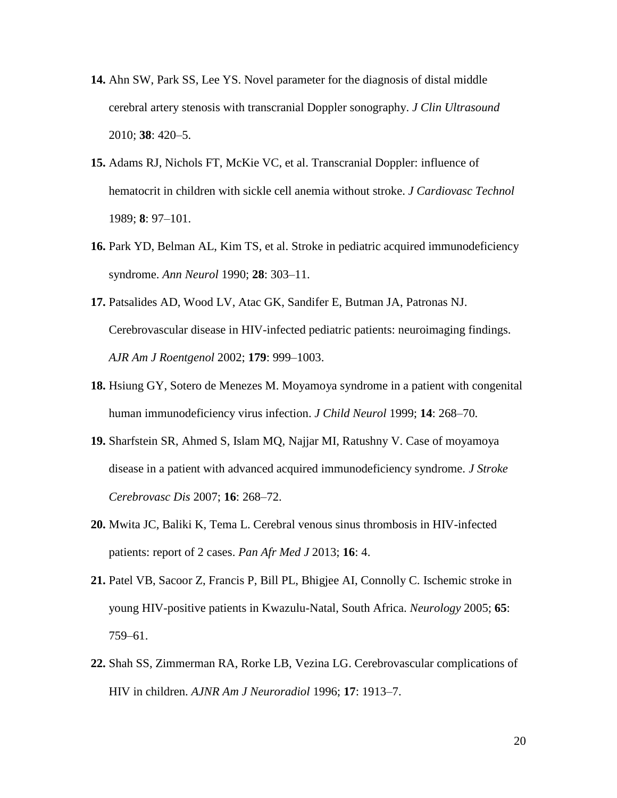- **14.** Ahn SW, Park SS, Lee YS. Novel parameter for the diagnosis of distal middle cerebral artery stenosis with transcranial Doppler sonography. *J Clin Ultrasound* 2010; **38**: 420–5.
- **15.** Adams RJ, Nichols FT, McKie VC, et al. Transcranial Doppler: influence of hematocrit in children with sickle cell anemia without stroke. *J Cardiovasc Technol* 1989; **8**: 97–101.
- **16.** Park YD, Belman AL, Kim TS, et al. Stroke in pediatric acquired immunodeficiency syndrome. *Ann Neurol* 1990; **28**: 303–11.
- **17.** Patsalides AD, Wood LV, Atac GK, Sandifer E, Butman JA, Patronas NJ. Cerebrovascular disease in HIV-infected pediatric patients: neuroimaging findings. *AJR Am J Roentgenol* 2002; **179**: 999–1003.
- **18.** Hsiung GY, Sotero de Menezes M. Moyamoya syndrome in a patient with congenital human immunodeficiency virus infection. *J Child Neurol* 1999; **14**: 268–70.
- **19.** Sharfstein SR, Ahmed S, Islam MQ, Najjar MI, Ratushny V. Case of moyamoya disease in a patient with advanced acquired immunodeficiency syndrome. *J Stroke Cerebrovasc Dis* 2007; **16**: 268–72.
- **20.** Mwita JC, Baliki K, Tema L. Cerebral venous sinus thrombosis in HIV-infected patients: report of 2 cases. *Pan Afr Med J* 2013; **16**: 4.
- **21.** Patel VB, Sacoor Z, Francis P, Bill PL, Bhigjee AI, Connolly C. Ischemic stroke in young HIV-positive patients in Kwazulu-Natal, South Africa. *Neurology* 2005; **65**: 759–61.
- **22.** Shah SS, Zimmerman RA, Rorke LB, Vezina LG. Cerebrovascular complications of HIV in children. *AJNR Am J Neuroradiol* 1996; **17**: 1913–7.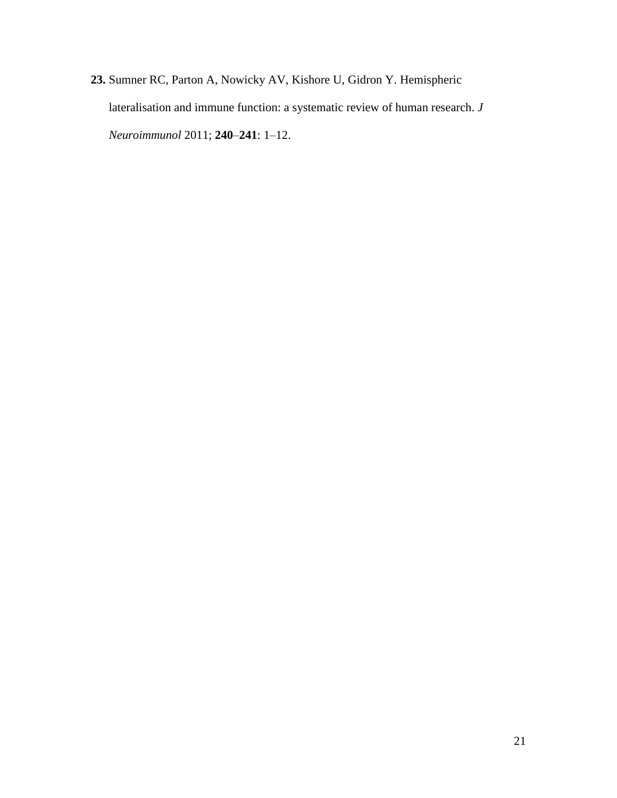**23.** Sumner RC, Parton A, Nowicky AV, Kishore U, Gidron Y. Hemispheric lateralisation and immune function: a systematic review of human research. *J Neuroimmunol* 2011; **240**–**241**: 1–12.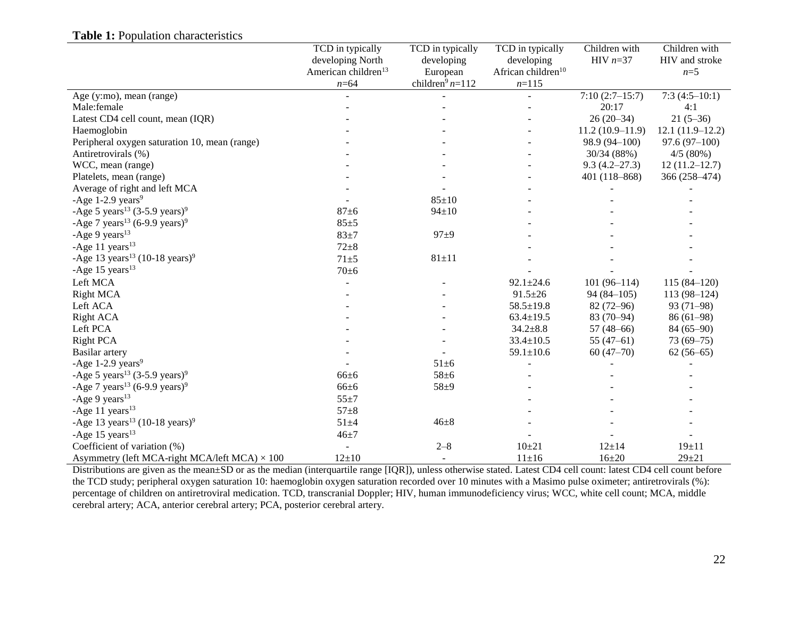# **Table 1:** Population characteristics

|                                                        | TCD in typically<br>developing North | TCD in typically<br>developing | TCD in typically<br>developing | Children with<br>HIV $n=37$ | Children with<br>HIV and stroke |
|--------------------------------------------------------|--------------------------------------|--------------------------------|--------------------------------|-----------------------------|---------------------------------|
|                                                        | American children <sup>13</sup>      | European                       | African children <sup>10</sup> |                             | $n=5$                           |
|                                                        | $n = 64$                             | children <sup>9</sup> $n=112$  | $n = 115$                      |                             |                                 |
| Age (y:mo), mean (range)                               |                                      |                                |                                | $7:10(2:7-15:7)$            | $7:3(4:5-10:1)$                 |
| Male: female                                           |                                      |                                |                                | 20:17                       | 4:1                             |
| Latest CD4 cell count, mean (IQR)                      |                                      |                                |                                | $26(20-34)$                 | $21(5-36)$                      |
| Haemoglobin                                            |                                      |                                |                                | $11.2(10.9-11.9)$           | $12.1(11.9-12.2)$               |
| Peripheral oxygen saturation 10, mean (range)          |                                      |                                |                                | 98.9 (94-100)               | $97.6(97-100)$                  |
| Antiretrovirals (%)                                    |                                      |                                |                                | 30/34 (88%)                 | 4/5(80%)                        |
| WCC, mean (range)                                      |                                      |                                |                                | $9.3(4.2 - 27.3)$           | $12(11.2-12.7)$                 |
| Platelets, mean (range)                                |                                      |                                |                                | 401 (118-868)               | 366 (258-474)                   |
| Average of right and left MCA                          |                                      |                                |                                |                             |                                 |
| -Age 1-2.9 years <sup>9</sup>                          |                                      | $85 \pm 10$                    |                                |                             |                                 |
| -Age 5 years <sup>13</sup> (3-5.9 years) <sup>9</sup>  | $87 + 6$                             | $94 \pm 10$                    |                                |                             |                                 |
| -Age 7 years <sup>13</sup> (6-9.9 years) <sup>9</sup>  | $85 + 5$                             |                                |                                |                             |                                 |
| -Age 9 years $13$                                      | $83 + 7$                             | $97 + 9$                       |                                |                             |                                 |
| -Age 11 years <sup>13</sup>                            | $72 + 8$                             |                                |                                |                             |                                 |
| -Age 13 years <sup>13</sup> (10-18 years) <sup>9</sup> | $71 + 5$                             | $81 + 11$                      |                                |                             |                                 |
| -Age 15 years <sup>13</sup>                            | $70\pm 6$                            |                                |                                |                             |                                 |
| Left MCA                                               |                                      |                                | $92.1 \pm 24.6$                | $101(96-114)$               | $115(84 - 120)$                 |
| <b>Right MCA</b>                                       |                                      |                                | $91.5 \pm 26$                  | $94(84-105)$                | $113(98-124)$                   |
| Left ACA                                               |                                      |                                | $58.5 \pm 19.8$                | $82(72-96)$                 | $93(71-98)$                     |
| Right ACA                                              |                                      |                                | $63.4 \pm 19.5$                | $83(70-94)$                 | $86(61-98)$                     |
| Left PCA                                               |                                      |                                | $34.2 \pm 8.8$                 | 57 $(48-66)$                | $84(65-90)$                     |
| <b>Right PCA</b>                                       |                                      |                                | $33.4 \pm 10.5$                | 55 $(47-61)$                | $73(69 - 75)$                   |
| <b>Basilar</b> artery                                  |                                      |                                | $59.1 \pm 10.6$                | $60(47-70)$                 | $62(56-65)$                     |
| -Age $1-2.9$ years <sup>9</sup>                        |                                      | $51 \pm 6$                     |                                |                             |                                 |
| -Age 5 years <sup>13</sup> (3-5.9 years) <sup>9</sup>  | 66±6                                 | $58 + 6$                       |                                |                             |                                 |
| -Age 7 years <sup>13</sup> (6-9.9 years) <sup>9</sup>  | $66 + 6$                             | $58 + 9$                       |                                |                             |                                 |
| -Age 9 years $13$                                      | $55 + 7$                             |                                |                                |                             |                                 |
| -Age 11 years $13$                                     | $57 + 8$                             |                                |                                |                             |                                 |
| -Age 13 years <sup>13</sup> (10-18 years) <sup>9</sup> | $51 + 4$                             | $46 + 8$                       |                                |                             |                                 |
| -Age 15 years $13$                                     | $46 + 7$                             |                                |                                |                             |                                 |
| Coefficient of variation (%)                           |                                      | $2 - 8$                        | $10 + 21$                      | $12 + 14$                   | $19 + 11$                       |
| Asymmetry (left MCA-right MCA/left MCA) $\times$ 100   | $12 + 10$                            | $\overline{\phantom{a}}$       | $11 \pm 16$                    | $16 + 20$                   | $29 + 21$                       |

Distributions are given as the mean±SD or as the median (interquartile range [IQR]), unless otherwise stated. Latest CD4 cell count: latest CD4 cell count before the TCD study; peripheral oxygen saturation 10: haemoglobin oxygen saturation recorded over 10 minutes with a Masimo pulse oximeter; antiretrovirals (%): percentage of children on antiretroviral medication. TCD, transcranial Doppler; HIV, human immunodeficiency virus; WCC, white cell count; MCA, middle cerebral artery; ACA, anterior cerebral artery; PCA, posterior cerebral artery.